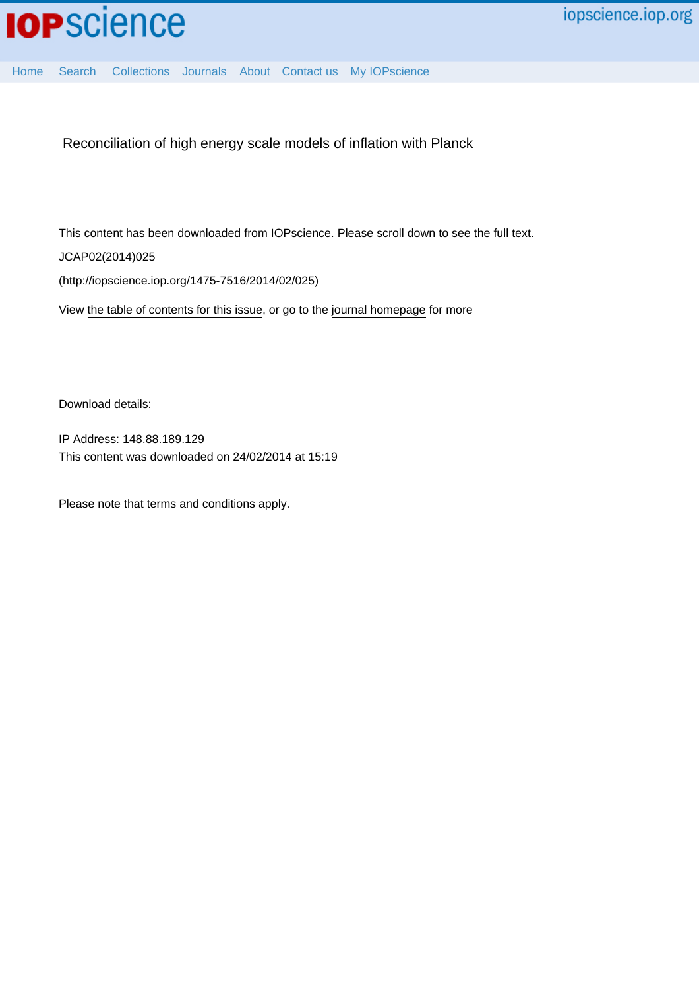

[Home](http://iopscience.iop.org/) [Search](http://iopscience.iop.org/search) [Collections](http://iopscience.iop.org/collections) [Journals](http://iopscience.iop.org/journals) [About](http://iopscience.iop.org/page/aboutioppublishing) [Contact us](http://iopscience.iop.org/contact) [My IOPscience](http://iopscience.iop.org/myiopscience)

Reconciliation of high energy scale models of inflation with Planck

This content has been downloaded from IOPscience. Please scroll down to see the full text. JCAP02(2014)025 (http://iopscience.iop.org/1475-7516/2014/02/025)

View [the table of contents for this issue](http://iopscience.iop.org/1475-7516/2014/02), or go to the [journal homepage](http://iopscience.iop.org/1475-7516) for more

Download details:

IP Address: 148.88.189.129 This content was downloaded on 24/02/2014 at 15:19

Please note that [terms and conditions apply.](iopscience.iop.org/page/terms)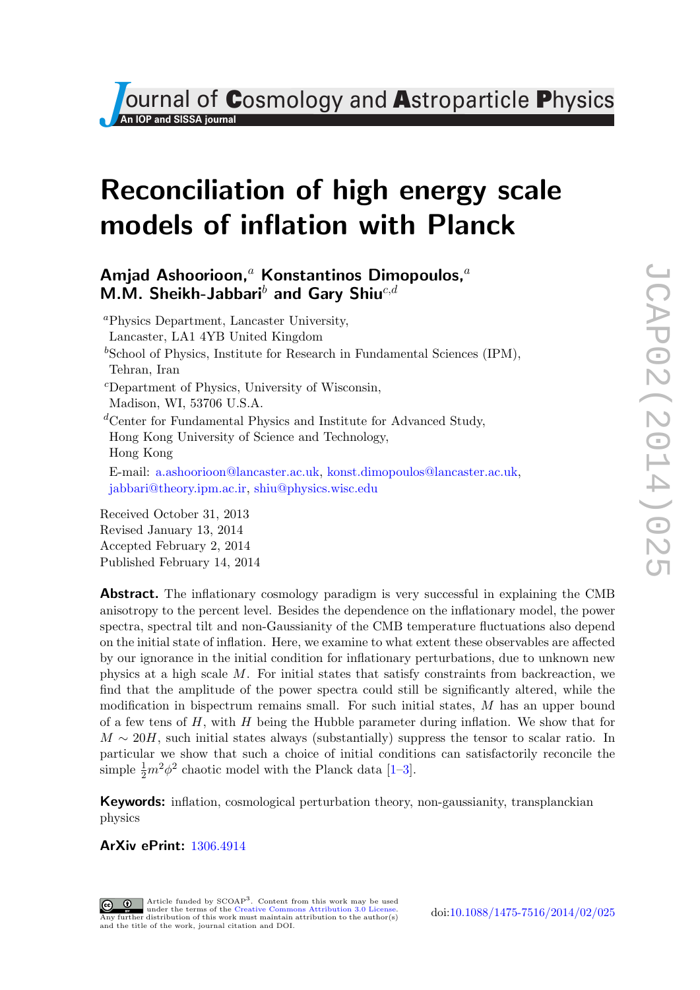*Ournal of Cosmology and Astroparticle Physics* 

# Reconciliation of high energy scale models of inflation with Planck

# Amjad Ashoorioon,<sup>a</sup> Konstantinos Dimopoulos,<sup>a</sup> M.M. Sheikh-Jabbari<sup>b</sup> and Gary Shiu<sup>c,d</sup>

<sup>a</sup>Physics Department, Lancaster University, Lancaster, LA1 4YB United Kingdom  $b$ School of Physics, Institute for Research in Fundamental Sciences (IPM), Tehran, Iran <sup>c</sup>Department of Physics, University of Wisconsin, Madison, WI, 53706 U.S.A. <sup>d</sup>Center for Fundamental Physics and Institute for Advanced Study, Hong Kong University of Science and Technology, Hong Kong E-mail: [a.ashoorioon@lancaster.ac.uk,](mailto:a.ashoorioon@lancaster.ac.uk) [konst.dimopoulos@lancaster.ac.uk,](mailto:konst.dimopoulos@lancaster.ac.uk) [jabbari@theory.ipm.ac.ir,](mailto:jabbari@theory.ipm.ac.ir) [shiu@physics.wisc.edu](mailto:shiu@physics.wisc.edu) Received October 31, 2013

Revised January 13, 2014 Accepted February 2, 2014 Published February 14, 2014

Abstract. The inflationary cosmology paradigm is very successful in explaining the CMB anisotropy to the percent level. Besides the dependence on the inflationary model, the power spectra, spectral tilt and non-Gaussianity of the CMB temperature fluctuations also depend on the initial state of inflation. Here, we examine to what extent these observables are affected by our ignorance in the initial condition for inflationary perturbations, due to unknown new physics at a high scale M. For initial states that satisfy constraints from backreaction, we find that the amplitude of the power spectra could still be significantly altered, while the modification in bispectrum remains small. For such initial states, M has an upper bound of a few tens of H, with H being the Hubble parameter during inflation. We show that for  $M \sim 20H$ , such initial states always (substantially) suppress the tensor to scalar ratio. In particular we show that such a choice of initial conditions can satisfactorily reconcile the simple  $\frac{1}{2}m^2\phi^2$  chaotic model with the Planck data [1-[3\]](#page-10-1).

**Keywords:** inflation, cosmological perturbation theory, non-gaussianity, transplanckian physics

ArXiv ePrint: [1306.4914](http://arxiv.org/abs/1306.4914)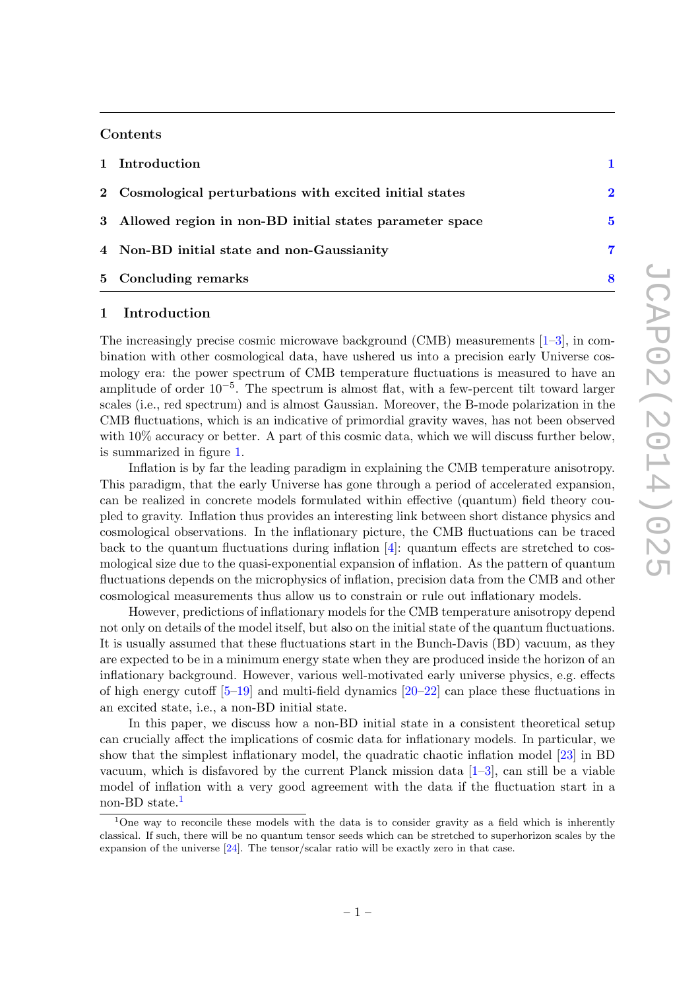### Contents

| 5 Concluding remarks                                      | 8           |
|-----------------------------------------------------------|-------------|
| 4 Non-BD initial state and non-Gaussianity                | 7           |
| 3 Allowed region in non-BD initial states parameter space | 5           |
| 2 Cosmological perturbations with excited initial states  | $\mathbf 2$ |
| 1 Introduction                                            |             |

# <span id="page-2-0"></span>1 Introduction

The increasingly precise cosmic microwave background (CMB) measurements [\[1–](#page-10-0)[3\]](#page-10-1), in combination with other cosmological data, have ushered us into a precision early Universe cosmology era: the power spectrum of CMB temperature fluctuations is measured to have an amplitude of order 10−<sup>5</sup> . The spectrum is almost flat, with a few-percent tilt toward larger scales (i.e., red spectrum) and is almost Gaussian. Moreover, the B-mode polarization in the CMB fluctuations, which is an indicative of primordial gravity waves, has not been observed with  $10\%$  accuracy or better. A part of this cosmic data, which we will discuss further below, is summarized in figure [1.](#page-3-1)

Inflation is by far the leading paradigm in explaining the CMB temperature anisotropy. This paradigm, that the early Universe has gone through a period of accelerated expansion, can be realized in concrete models formulated within effective (quantum) field theory coupled to gravity. Inflation thus provides an interesting link between short distance physics and cosmological observations. In the inflationary picture, the CMB fluctuations can be traced back to the quantum fluctuations during inflation [\[4\]](#page-10-2): quantum effects are stretched to cosmological size due to the quasi-exponential expansion of inflation. As the pattern of quantum fluctuations depends on the microphysics of inflation, precision data from the CMB and other cosmological measurements thus allow us to constrain or rule out inflationary models.

However, predictions of inflationary models for the CMB temperature anisotropy depend not only on details of the model itself, but also on the initial state of the quantum fluctuations. It is usually assumed that these fluctuations start in the Bunch-Davis (BD) vacuum, as they are expected to be in a minimum energy state when they are produced inside the horizon of an inflationary background. However, various well-motivated early universe physics, e.g. effects of high energy cutoff  $[5-19]$  $[5-19]$  and multi-field dynamics  $[20-22]$  $[20-22]$  can place these fluctuations in an excited state, i.e., a non-BD initial state.

In this paper, we discuss how a non-BD initial state in a consistent theoretical setup can crucially affect the implications of cosmic data for inflationary models. In particular, we show that the simplest inflationary model, the quadratic chaotic inflation model [\[23\]](#page-11-2) in BD vacuum, which is disfavored by the current Planck mission data [\[1–](#page-10-0)[3\]](#page-10-1), can still be a viable model of inflation with a very good agreement with the data if the fluctuation start in a non-BD state.<sup>[1](#page-2-1)</sup>

<span id="page-2-1"></span><sup>&</sup>lt;sup>1</sup>One way to reconcile these models with the data is to consider gravity as a field which is inherently classical. If such, there will be no quantum tensor seeds which can be stretched to superhorizon scales by the expansion of the universe [\[24\]](#page-11-3). The tensor/scalar ratio will be exactly zero in that case.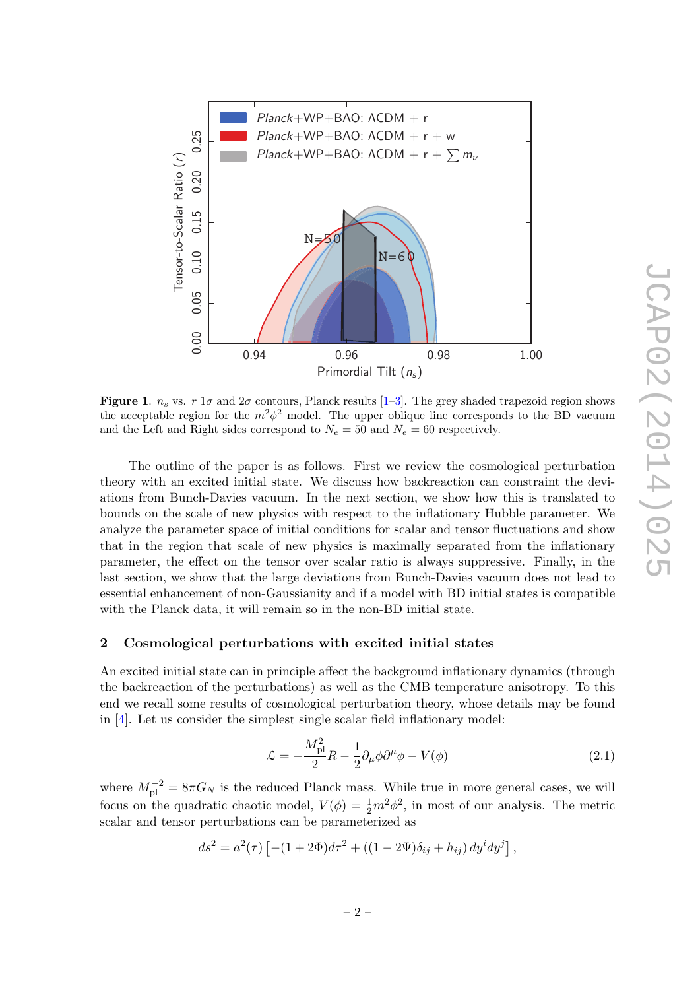

Tensor-to-Scalar Ratio (r)

Tensor-to-Scalar Ratio (r)

<span id="page-3-1"></span>Figure 1.  $n_s$  vs. r 1 $\sigma$  and 2 $\sigma$  contours, Planck results [\[1–](#page-10-0)[3\]](#page-10-1). The grey shaded trapezoid region shows the acceptable region for the  $m^2\phi^2$  model. The upper oblique line corresponds to the BD vacuum and the Left and Right sides correspond to  $N_e = 50$  and  $N_e = 60$  respectively.

The outline of the paper is as follows. First we review the cosmological perturbation theory with an excited initial state. We discuss how backreaction can constraint the deviations from Bunch-Davies vacuum. In the next section, we show how this is translated to bounds on the scale of new physics with respect to the inflationary Hubble parameter. We analyze the parameter space of initial conditions for scalar and tensor fluctuations and show that in the region that scale of new physics is maximally separated from the inflationary parameter, the effect on the tensor over scalar ratio is always suppressive. Finally, in the last section, we show that the large deviations from Bunch-Davies vacuum does not lead to essential enhancement of non-Gaussianity and if a model with BD initial states is compatible with the Planck data, it will remain so in the non-BD initial state.

# <span id="page-3-0"></span>2 Cosmological perturbations with excited initial states

An excited initial state can in principle affect the background inflationary dynamics (through the backreaction of the perturbations) as well as the CMB temperature anisotropy. To this end we recall some results of cosmological perturbation theory, whose details may be found in [\[4\]](#page-10-2). Let us consider the simplest single scalar field inflationary model:

$$
\mathcal{L} = -\frac{M_{\rm pl}^2}{2}R - \frac{1}{2}\partial_\mu\phi\partial^\mu\phi - V(\phi) \tag{2.1}
$$

where  $M_{\text{pl}}^{-2} = 8\pi G_N$  is the reduced Planck mass. While true in more general cases, we will focus on the quadratic chaotic model,  $V(\phi) = \frac{1}{2}m^2\phi^2$ , in most of our analysis. The metric scalar and tensor perturbations can be parameterized as

$$
ds^{2} = a^{2}(\tau) \left[ -(1 + 2\Phi) d\tau^{2} + ((1 - 2\Psi)\delta_{ij} + h_{ij}) dy^{i} dy^{j} \right],
$$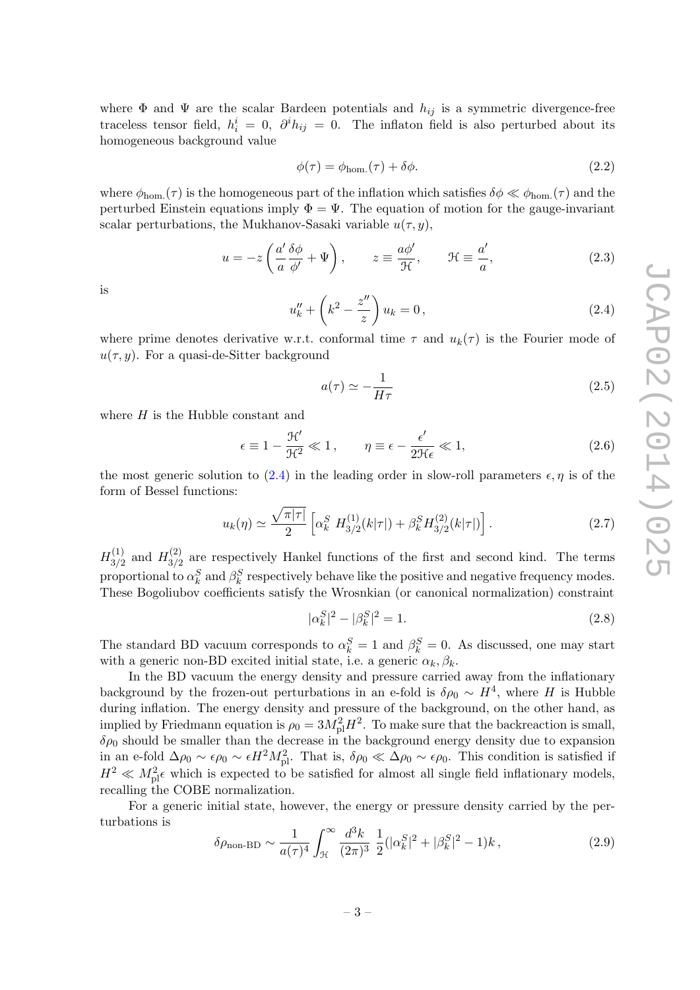where  $\Phi$  and  $\Psi$  are the scalar Bardeen potentials and  $h_{ij}$  is a symmetric divergence-free traceless tensor field,  $h_i^i = 0$ ,  $\partial^i h_{ij} = 0$ . The inflaton field is also perturbed about its homogeneous background value

$$
\phi(\tau) = \phi_{\text{hom.}}(\tau) + \delta\phi. \tag{2.2}
$$

where  $\phi_{\text{hom.}}(\tau)$  is the homogeneous part of the inflation which satisfies  $\delta\phi \ll \phi_{\text{hom.}}(\tau)$  and the perturbed Einstein equations imply  $\Phi = \Psi$ . The equation of motion for the gauge-invariant scalar perturbations, the Mukhanov-Sasaki variable  $u(\tau, y)$ ,

$$
u = -z \left( \frac{a'}{a} \frac{\delta \phi}{\phi'} + \Psi \right), \qquad z \equiv \frac{a \phi'}{\mathcal{H}}, \qquad \mathcal{H} \equiv \frac{a'}{a}, \tag{2.3}
$$

is

<span id="page-4-0"></span>
$$
u''_k + \left(k^2 - \frac{z''}{z}\right)u_k = 0, \tag{2.4}
$$

where prime denotes derivative w.r.t. conformal time  $\tau$  and  $u_k(\tau)$  is the Fourier mode of  $u(\tau, y)$ . For a quasi-de-Sitter background

$$
a(\tau) \simeq -\frac{1}{H\tau} \tag{2.5}
$$

where  $H$  is the Hubble constant and

$$
\epsilon \equiv 1 - \frac{\mathcal{H}'}{\mathcal{H}^2} \ll 1, \qquad \eta \equiv \epsilon - \frac{\epsilon'}{2\mathcal{H}\epsilon} \ll 1, \tag{2.6}
$$

the most generic solution to [\(2.4\)](#page-4-0) in the leading order in slow-roll parameters  $\epsilon, \eta$  is of the form of Bessel functions:

$$
u_k(\eta) \simeq \frac{\sqrt{\pi|\tau|}}{2} \left[ \alpha_k^S \ H_{3/2}^{(1)}(k|\tau|) + \beta_k^S H_{3/2}^{(2)}(k|\tau|) \right]. \tag{2.7}
$$

 $H_{3/2}^{(1)}$  $\frac{1}{3/2}$  and  $H_{3/2}^{(2)}$  $\frac{3}{2}$  are respectively Hankel functions of the first and second kind. The terms proportional to  $\alpha_k^S$  and  $\beta_k^S$  respectively behave like the positive and negative frequency modes. These Bogoliubov coefficients satisfy the Wrosnkian (or canonical normalization) constraint

<span id="page-4-1"></span>
$$
|\alpha_k^S|^2 - |\beta_k^S|^2 = 1.
$$
\n(2.8)

The standard BD vacuum corresponds to  $\alpha_k^S = 1$  and  $\beta_k^S = 0$ . As discussed, one may start with a generic non-BD excited initial state, i.e. a generic  $\alpha_k, \beta_k$ .

In the BD vacuum the energy density and pressure carried away from the inflationary background by the frozen-out perturbations in an e-fold is  $\delta \rho_0 \sim H^4$ , where H is Hubble during inflation. The energy density and pressure of the background, on the other hand, as implied by Friedmann equation is  $\rho_0 = 3M_{\text{pl}}^2H^2$ . To make sure that the backreaction is small,  $\delta\rho_0$  should be smaller than the decrease in the background energy density due to expansion in an e-fold  $\Delta \rho_0 \sim \epsilon \rho_0 \sim \epsilon H^2 M_{\text{pl}}^2$ . That is,  $\delta \rho_0 \ll \Delta \rho_0 \sim \epsilon \rho_0$ . This condition is satisfied if  $H^2 \ll M_{\text{pl}}^2 \epsilon$  which is expected to be satisfied for almost all single field inflationary models, recalling the COBE normalization.

For a generic initial state, however, the energy or pressure density carried by the perturbations is

<span id="page-4-2"></span>
$$
\delta\rho_{\text{non-BD}} \sim \frac{1}{a(\tau)^4} \int_{\mathcal{H}}^{\infty} \frac{d^3k}{(2\pi)^3} \frac{1}{2} (|\alpha_k^S|^2 + |\beta_k^S|^2 - 1) k \,, \tag{2.9}
$$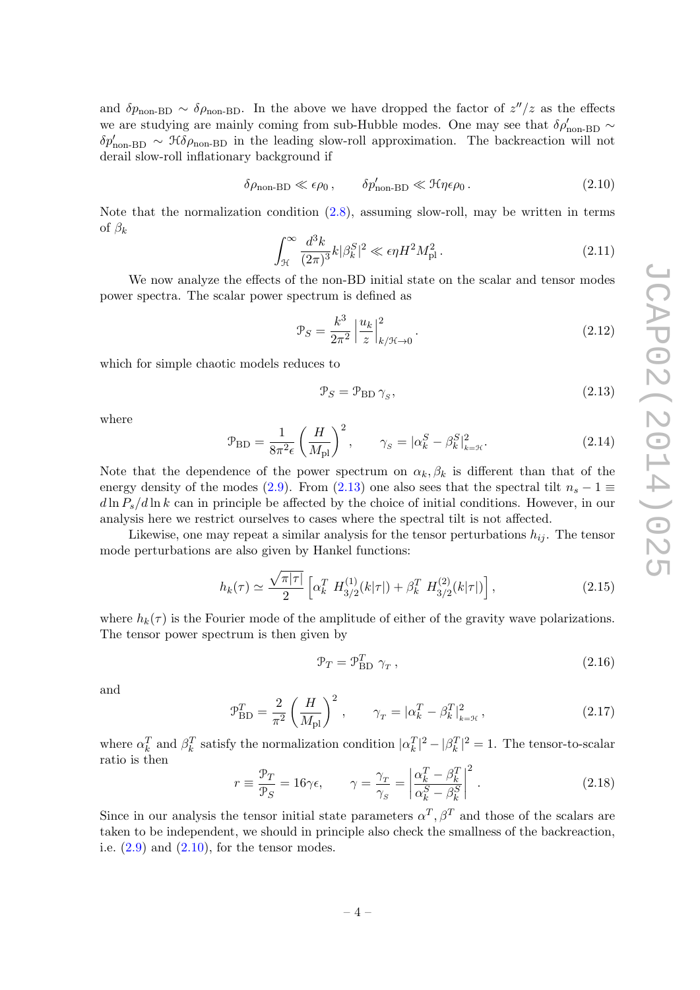and  $\delta p_{\text{non-BD}} \sim \delta \rho_{\text{non-BD}}$ . In the above we have dropped the factor of  $z''/z$  as the effects we are studying are mainly coming from sub-Hubble modes. One may see that  $\delta \rho_{\rm non-BD}' \sim$  $\delta p'_{\text{non-BD}} \sim \mathcal{H} \delta \rho_{\text{non-BD}}$  in the leading slow-roll approximation. The backreaction will not derail slow-roll inflationary background if

<span id="page-5-1"></span>
$$
\delta\rho_{\text{non-BD}} \ll \epsilon\rho_0 \,, \qquad \delta p'_{\text{non-BD}} \ll \mathcal{H}\eta\epsilon\rho_0 \,. \tag{2.10}
$$

Note that the normalization condition [\(2.8\)](#page-4-1), assuming slow-roll, may be written in terms of  $\beta_k$ 

$$
\int_{\mathcal{H}}^{\infty} \frac{d^3k}{(2\pi)^3} k|\beta_k^S|^2 \ll \epsilon \eta H^2 M_{\text{pl}}^2. \tag{2.11}
$$

We now analyze the effects of the non-BD initial state on the scalar and tensor modes power spectra. The scalar power spectrum is defined as

$$
\mathcal{P}_S = \frac{k^3}{2\pi^2} \left| \frac{u_k}{z} \right|_{k/\mathcal{H}\to 0}^2.
$$
\n(2.12)

which for simple chaotic models reduces to

<span id="page-5-0"></span>
$$
\mathcal{P}_S = \mathcal{P}_{\text{BD}} \,\gamma_S,\tag{2.13}
$$

where

$$
\mathcal{P}_{\text{BD}} = \frac{1}{8\pi^2 \epsilon} \left(\frac{H}{M_{\text{pl}}}\right)^2, \qquad \gamma_s = |\alpha_k^S - \beta_k^S|_{k=\mathcal{H}}^2.
$$
 (2.14)

Note that the dependence of the power spectrum on  $\alpha_k, \beta_k$  is different than that of the energy density of the modes [\(2.9\)](#page-4-2). From [\(2.13\)](#page-5-0) one also sees that the spectral tilt  $n_s - 1 \equiv$  $d \ln P_s/d \ln k$  can in principle be affected by the choice of initial conditions. However, in our analysis here we restrict ourselves to cases where the spectral tilt is not affected.

Likewise, one may repeat a similar analysis for the tensor perturbations  $h_{ij}$ . The tensor mode perturbations are also given by Hankel functions:

$$
h_k(\tau) \simeq \frac{\sqrt{\pi |\tau|}}{2} \left[ \alpha_k^T \ H_{3/2}^{(1)}(k|\tau|) + \beta_k^T \ H_{3/2}^{(2)}(k|\tau|) \right],\tag{2.15}
$$

where  $h_k(\tau)$  is the Fourier mode of the amplitude of either of the gravity wave polarizations. The tensor power spectrum is then given by

$$
\mathcal{P}_T = \mathcal{P}_{\text{BD}}^T \gamma_T, \qquad (2.16)
$$

and

$$
\mathcal{P}_{\text{BD}}^T = \frac{2}{\pi^2} \left( \frac{H}{M_{\text{pl}}} \right)^2, \qquad \gamma_T = |\alpha_k^T - \beta_k^T|_{k=\mathcal{H}}^2, \tag{2.17}
$$

where  $\alpha_k^T$  and  $\beta_k^T$  satisfy the normalization condition  $|\alpha_k^T|^2 - |\beta_k^T|^2 = 1$ . The tensor-to-scalar ratio is then

$$
r \equiv \frac{\mathcal{P}_T}{\mathcal{P}_S} = 16\gamma\epsilon, \qquad \gamma = \frac{\gamma_T}{\gamma_S} = \left| \frac{\alpha_k^T - \beta_k^T}{\alpha_k^S - \beta_k^S} \right|^2. \tag{2.18}
$$

Since in our analysis the tensor initial state parameters  $\alpha^T$ ,  $\beta^T$  and those of the scalars are taken to be independent, we should in principle also check the smallness of the backreaction, i.e.  $(2.9)$  and  $(2.10)$ , for the tensor modes.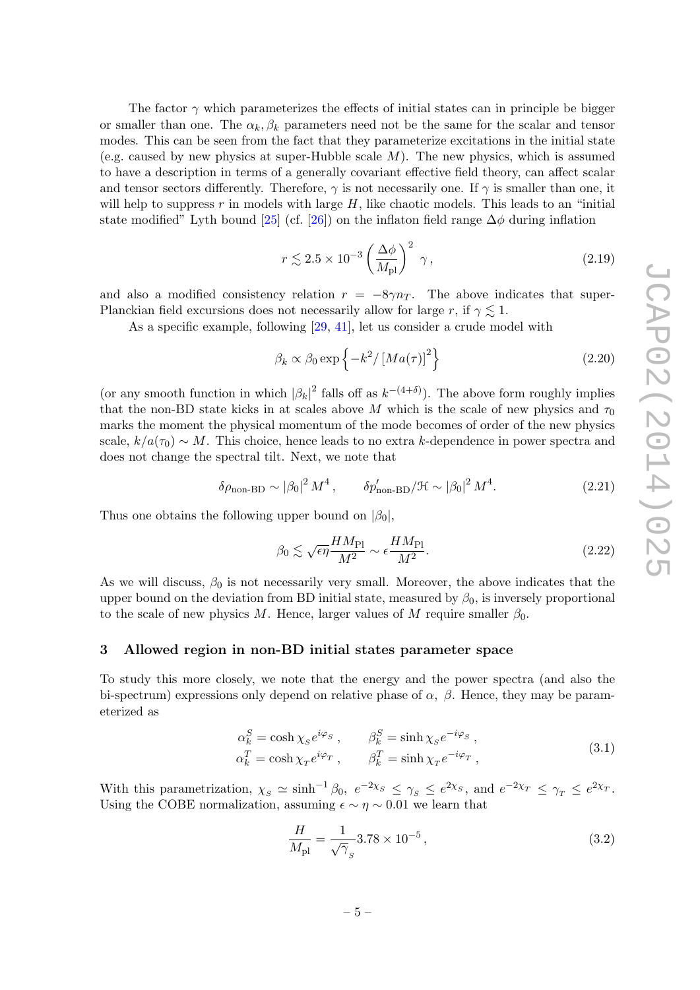The factor  $\gamma$  which parameterizes the effects of initial states can in principle be bigger or smaller than one. The  $\alpha_k, \beta_k$  parameters need not be the same for the scalar and tensor modes. This can be seen from the fact that they parameterize excitations in the initial state (e.g. caused by new physics at super-Hubble scale  $M$ ). The new physics, which is assumed to have a description in terms of a generally covariant effective field theory, can affect scalar and tensor sectors differently. Therefore,  $\gamma$  is not necessarily one. If  $\gamma$  is smaller than one, it will help to suppress r in models with large  $H$ , like chaotic models. This leads to an "initial state modified" Lyth bound [\[25\]](#page-11-4) (cf. [\[26\]](#page-11-5)) on the inflaton field range  $\Delta\phi$  during inflation

$$
r \lesssim 2.5 \times 10^{-3} \left(\frac{\Delta\phi}{M_{\rm pl}}\right)^2 \gamma, \tag{2.19}
$$

and also a modified consistency relation  $r = -8\gamma n_T$ . The above indicates that super-Planckian field excursions does not necessarily allow for large r, if  $\gamma \lesssim 1$ .

As a specific example, following [\[29,](#page-11-6) [41\]](#page-11-7), let us consider a crude model with

<span id="page-6-2"></span>
$$
\beta_k \propto \beta_0 \exp\left\{-k^2 / \left[Ma(\tau)\right]^2\right\} \tag{2.20}
$$

(or any smooth function in which  $|\beta_k|^2$  falls off as  $k^{-(4+\delta)}$ ). The above form roughly implies that the non-BD state kicks in at scales above M which is the scale of new physics and  $\tau_0$ marks the moment the physical momentum of the mode becomes of order of the new physics scale,  $k/a(\tau_0) \sim M$ . This choice, hence leads to no extra k-dependence in power spectra and does not change the spectral tilt. Next, we note that

$$
\delta\rho_{\text{non-BD}} \sim |\beta_0|^2 M^4, \qquad \delta p_{\text{non-BD}}'/\mathcal{H} \sim |\beta_0|^2 M^4. \tag{2.21}
$$

Thus one obtains the following upper bound on  $|\beta_0|$ ,

<span id="page-6-1"></span>
$$
\beta_0 \lesssim \sqrt{\epsilon \eta} \frac{HM_{\rm Pl}}{M^2} \sim \epsilon \frac{HM_{\rm Pl}}{M^2}.
$$
\n(2.22)

As we will discuss,  $\beta_0$  is not necessarily very small. Moreover, the above indicates that the upper bound on the deviation from BD initial state, measured by  $\beta_0$ , is inversely proportional to the scale of new physics M. Hence, larger values of M require smaller  $\beta_0$ .

## <span id="page-6-0"></span>3 Allowed region in non-BD initial states parameter space

To study this more closely, we note that the energy and the power spectra (and also the bi-spectrum) expressions only depend on relative phase of  $\alpha$ ,  $\beta$ . Hence, they may be parameterized as

$$
\alpha_k^S = \cosh \chi_s e^{i\varphi_s} , \qquad \beta_k^S = \sinh \chi_s e^{-i\varphi_s} ,
$$
  
\n
$$
\alpha_k^T = \cosh \chi_T e^{i\varphi_T} , \qquad \beta_k^T = \sinh \chi_T e^{-i\varphi_T} ,
$$
\n(3.1)

With this parametrization,  $\chi_s \simeq \sinh^{-1}\beta_0$ ,  $e^{-2\chi_s} \leq \gamma_s \leq e^{2\chi_s}$ , and  $e^{-2\chi_T} \leq \gamma_T \leq e^{2\chi_T}$ . Using the COBE normalization, assuming  $\epsilon \sim \eta \sim 0.01$  we learn that

<span id="page-6-3"></span>
$$
\frac{H}{M_{\rm pl}} = \frac{1}{\sqrt{\gamma}_s} 3.78 \times 10^{-5},\tag{3.2}
$$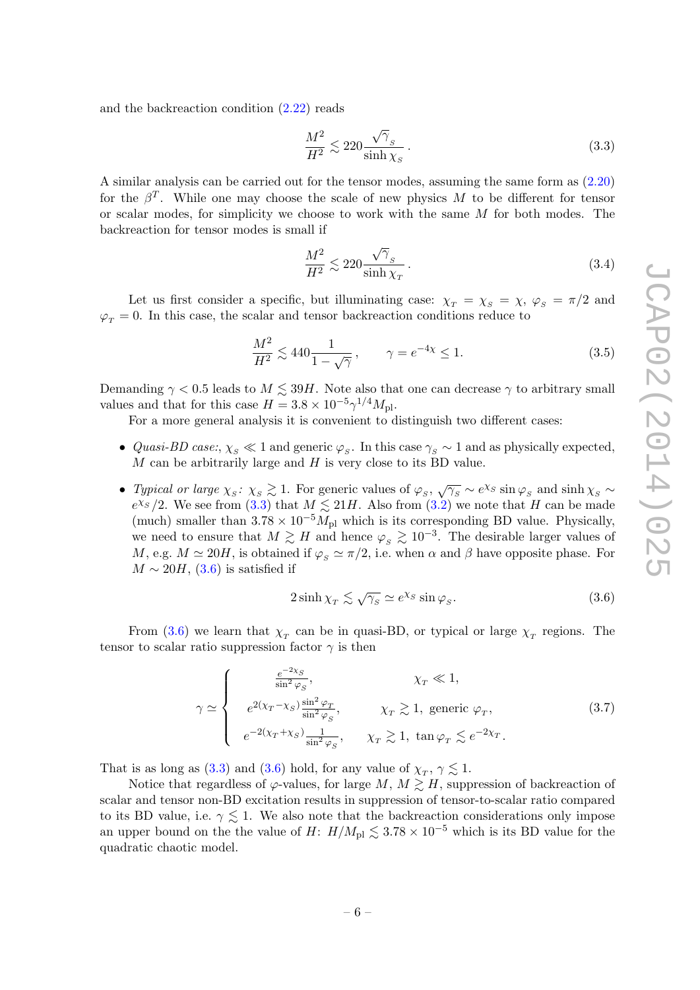and the backreaction condition [\(2.22\)](#page-6-1) reads

<span id="page-7-0"></span>
$$
\frac{M^2}{H^2} \lesssim 220 \frac{\sqrt{\gamma}_s}{\sinh \chi_s} \,. \tag{3.3}
$$

A similar analysis can be carried out for the tensor modes, assuming the same form as [\(2.20\)](#page-6-2) for the  $\beta^T$ . While one may choose the scale of new physics M to be different for tensor or scalar modes, for simplicity we choose to work with the same  $M$  for both modes. The backreaction for tensor modes is small if

$$
\frac{M^2}{H^2} \lesssim 220 \frac{\sqrt{\gamma}_s}{\sinh \chi_T} \,. \tag{3.4}
$$

Let us first consider a specific, but illuminating case:  $\chi_T = \chi_S = \chi$ ,  $\varphi_S = \pi/2$  and  $\varphi_T = 0$ . In this case, the scalar and tensor backreaction conditions reduce to

$$
\frac{M^2}{H^2} \lesssim 440 \frac{1}{1 - \sqrt{\gamma}}, \qquad \gamma = e^{-4\chi} \le 1.
$$
 (3.5)

Demanding  $\gamma < 0.5$  leads to  $M \lesssim 39H$ . Note also that one can decrease  $\gamma$  to arbitrary small values and that for this case  $H = 3.8 \times 10^{-5} \gamma^{1/4} M_{\text{pl}}$ .

For a more general analysis it is convenient to distinguish two different cases:

- Quasi-BD case:,  $\chi_s \ll 1$  and generic  $\varphi_s$ . In this case  $\gamma_s \sim 1$  and as physically expected,  $M$  can be arbitrarily large and  $H$  is very close to its BD value.
- Typical or large  $\chi_s \colon \chi_s \gtrsim 1$ . For generic values of  $\varphi_s$ ,  $\sqrt{\gamma_s} \sim e^{\chi_s} \sin \varphi_s$  and  $\sinh \chi_s \sim$  $e^{\chi_S}/2$ . We see from [\(3.3\)](#page-7-0) that  $M \lesssim 21H$ . Also from [\(3.2\)](#page-6-3) we note that H can be made (much) smaller than  $3.78 \times 10^{-5} M_{\text{pl}}$  which is its corresponding BD value. Physically, we need to ensure that  $M \gtrsim H$  and hence  $\varphi_s \gtrsim 10^{-3}$ . The desirable larger values of M, e.g.  $M \simeq 20H$ , is obtained if  $\varphi_s \simeq \pi/2$ , i.e. when  $\alpha$  and  $\beta$  have opposite phase. For  $M \sim 20H$ , [\(3.6\)](#page-7-1) is satisfied if

<span id="page-7-1"></span>
$$
2\sinh\chi_{T} \lesssim \sqrt{\gamma_{s}} \simeq e^{\chi_{S}} \sin\varphi_{s}.
$$
\n(3.6)

From [\(3.6\)](#page-7-1) we learn that  $\chi_T$  can be in quasi-BD, or typical or large  $\chi_T$  regions. The tensor to scalar ratio suppression factor  $\gamma$  is then

$$
\gamma \simeq \begin{cases}\n\frac{e^{-2\chi_S}}{\sin^2 \varphi_S}, & \chi_T \ll 1, \\
e^{2(\chi_T - \chi_S)} \frac{\sin^2 \varphi_T}{\sin^2 \varphi_S}, & \chi_T \gtrsim 1, \text{ generic } \varphi_T, \\
e^{-2(\chi_T + \chi_S)} \frac{1}{\sin^2 \varphi_S}, & \chi_T \gtrsim 1, \tan \varphi_T \lesssim e^{-2\chi_T}.\n\end{cases}
$$
\n(3.7)

That is as long as [\(3.3\)](#page-7-0) and [\(3.6\)](#page-7-1) hold, for any value of  $\chi_T$ ,  $\gamma \lesssim 1$ .

Notice that regardless of  $\varphi$ -values, for large  $M, M \gtrsim H$ , suppression of backreaction of scalar and tensor non-BD excitation results in suppression of tensor-to-scalar ratio compared to its BD value, i.e.  $\gamma \leq 1$ . We also note that the backreaction considerations only impose an upper bound on the the value of  $H: H/M_{\rm pl} \lesssim 3.78 \times 10^{-5}$  which is its BD value for the quadratic chaotic model.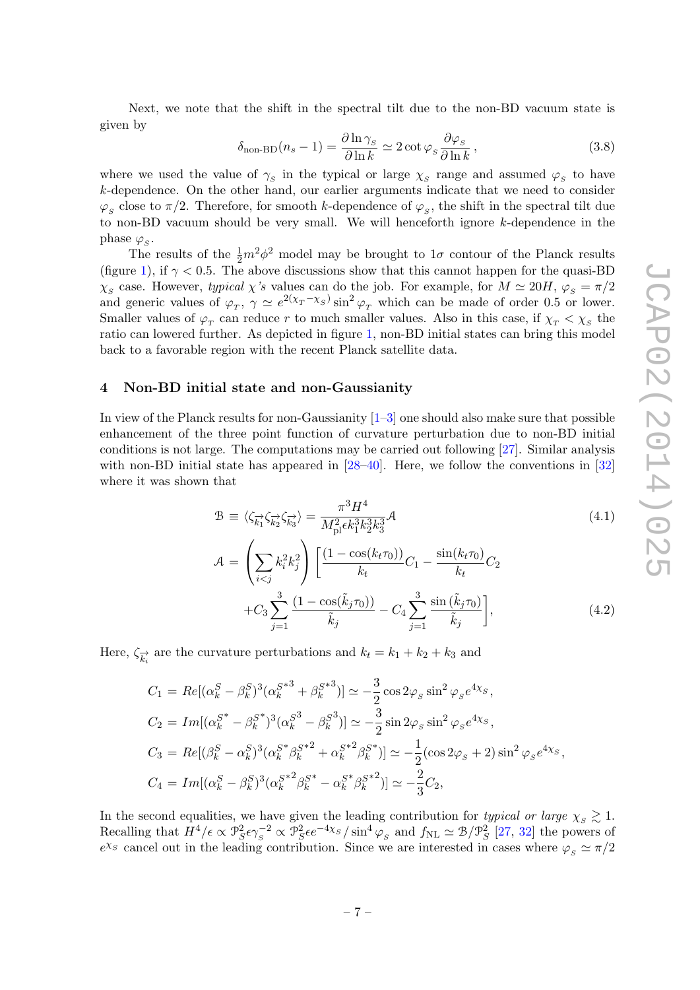Next, we note that the shift in the spectral tilt due to the non-BD vacuum state is given by

$$
\delta_{\text{non-BD}}(n_s - 1) = \frac{\partial \ln \gamma_s}{\partial \ln k} \simeq 2 \cot \varphi_s \frac{\partial \varphi_s}{\partial \ln k},
$$
\n(3.8)

where we used the value of  $\gamma_s$  in the typical or large  $\chi_s$  range and assumed  $\varphi_s$  to have k-dependence. On the other hand, our earlier arguments indicate that we need to consider  $\varphi_S$  close to  $\pi/2$ . Therefore, for smooth k-dependence of  $\varphi_S$ , the shift in the spectral tilt due to non-BD vacuum should be very small. We will henceforth ignore k-dependence in the phase  $\varphi_S$ .

The results of the  $\frac{1}{2}m^2\phi^2$  model may be brought to  $1\sigma$  contour of the Planck results (figure [1\)](#page-3-1), if  $\gamma$  < 0.5. The above discussions show that this cannot happen for the quasi-BD  $\chi_{S}$  case. However, typical  $\chi$ 's values can do the job. For example, for  $M \simeq 20H$ ,  $\varphi_{S} = \pi/2$ and generic values of  $\varphi_T$ ,  $\gamma \simeq e^{2(\chi_T - \chi_S)} \sin^2 \varphi_T$  which can be made of order 0.5 or lower. Smaller values of  $\varphi_T$  can reduce r to much smaller values. Also in this case, if  $\chi_T < \chi_S$  the ratio can lowered further. As depicted in figure [1,](#page-3-1) non-BD initial states can bring this model back to a favorable region with the recent Planck satellite data.

#### <span id="page-8-0"></span>4 Non-BD initial state and non-Gaussianity

In view of the Planck results for non-Gaussianity [\[1–](#page-10-0)[3\]](#page-10-1) one should also make sure that possible enhancement of the three point function of curvature perturbation due to non-BD initial conditions is not large. The computations may be carried out following [\[27\]](#page-11-8). Similar analysis with non-BD initial state has appeared in [\[28](#page-11-9)[–40\]](#page-11-10). Here, we follow the conventions in [\[32\]](#page-11-11) where it was shown that

$$
\mathcal{B} \equiv \langle \zeta_{\overrightarrow{k_1}} \zeta_{\overrightarrow{k_2}} \zeta_{\overrightarrow{k_3}} \rangle = \frac{\pi^3 H^4}{M_{\text{pl}}^2 \epsilon k_1^3 k_2^3 k_3^3} \mathcal{A}
$$
\n(4.1)

$$
\mathcal{A} = \left(\sum_{i < j} k_i^2 k_j^2\right) \left[\frac{(1 - \cos(k_t \tau_0))}{k_t} C_1 - \frac{\sin(k_t \tau_0)}{k_t} C_2 + C_3 \sum_{j=1}^3 \frac{(1 - \cos(\tilde{k}_j \tau_0))}{\tilde{k}_j} - C_4 \sum_{j=1}^3 \frac{\sin(\tilde{k}_j \tau_0)}{\tilde{k}_j}\right],\tag{4.2}
$$

Here,  $\zeta_{\overrightarrow{k_i}}$  are the curvature perturbations and  $k_t = k_1 + k_2 + k_3$  and

$$
C_1 = Re[(\alpha_k^S - \beta_k^S)^3(\alpha_k^{S^{*3}} + \beta_k^{S^{*3}})] \simeq -\frac{3}{2}\cos 2\varphi_s \sin^2 \varphi_s e^{4\chi_s},
$$
  
\n
$$
C_2 = Im[(\alpha_k^{S^{*}} - \beta_k^{S^{*}})^3(\alpha_k^{S^{3}} - \beta_k^{S^{3}})] \simeq -\frac{3}{2}\sin 2\varphi_s \sin^2 \varphi_s e^{4\chi_s},
$$
  
\n
$$
C_3 = Re[(\beta_k^S - \alpha_k^S)^3(\alpha_k^{S^{*}}\beta_k^{S^{*2}} + \alpha_k^{S^{*2}}\beta_k^{S^{*}})] \simeq -\frac{1}{2}(\cos 2\varphi_s + 2)\sin^2 \varphi_s e^{4\chi_s},
$$
  
\n
$$
C_4 = Im[(\alpha_k^S - \beta_k^S)^3(\alpha_k^{S^{*2}}\beta_k^{S^{*}} - \alpha_k^{S^{*}}\beta_k^{S^{*2}})] \simeq -\frac{2}{3}C_2,
$$

In the second equalities, we have given the leading contribution for typical or large  $\chi_s \gtrsim 1$ . Recalling that  $H^4/\epsilon \propto \mathcal{P}_S^2 \epsilon \gamma_S^{-2} \propto \mathcal{P}_S^2 \epsilon e^{-4\chi_S}/\sin^4 \varphi_S$  and  $f_{\rm NL} \simeq \mathcal{B}/\mathcal{P}_S^2$  [\[27,](#page-11-8) [32\]](#page-11-11) the powers of  $e^{\chi_S}$  cancel out in the leading contribution. Since we are interested in cases where  $\varphi_S \simeq \pi/2$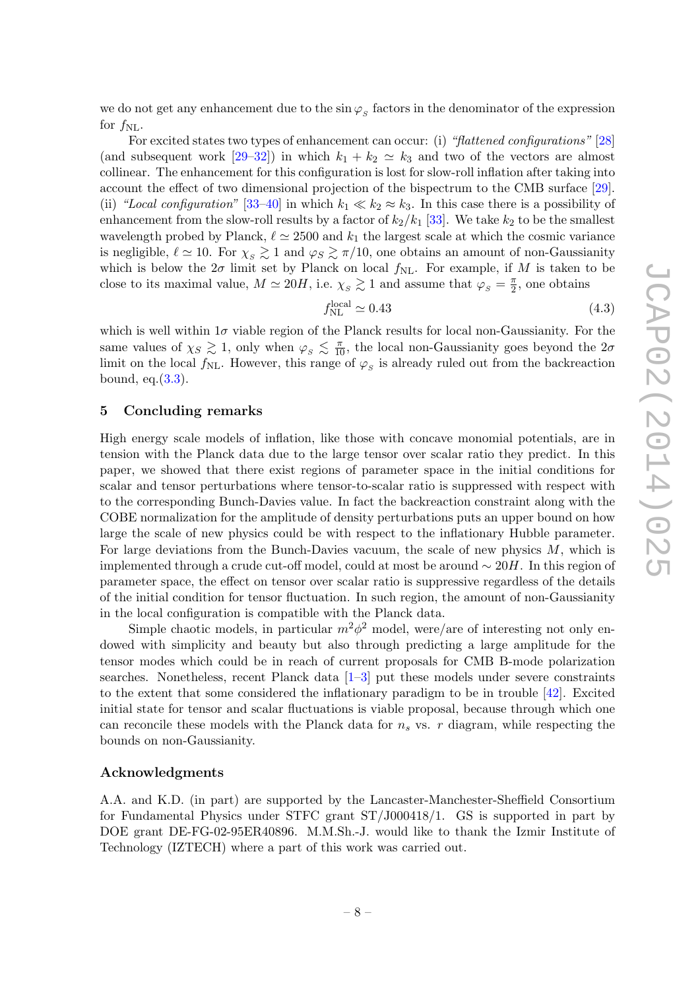we do not get any enhancement due to the  $\sin \varphi_s$  factors in the denominator of the expression for  $f_{\text{NL}}$ .

For excited states two types of enhancement can occur: (i) "flattened configurations" [\[28\]](#page-11-9) (and subsequent work [\[29–](#page-11-6)[32\]](#page-11-11)) in which  $k_1 + k_2 \simeq k_3$  and two of the vectors are almost collinear. The enhancement for this configuration is lost for slow-roll inflation after taking into account the effect of two dimensional projection of the bispectrum to the CMB surface [\[29\]](#page-11-6). (ii) "Local configuration" [\[33–](#page-11-12)[40\]](#page-11-10) in which  $k_1 \ll k_2 \approx k_3$ . In this case there is a possibility of enhancement from the slow-roll results by a factor of  $k_2/k_1$  [\[33\]](#page-11-12). We take  $k_2$  to be the smallest wavelength probed by Planck,  $\ell \approx 2500$  and  $k_1$  the largest scale at which the cosmic variance is negligible,  $\ell \simeq 10$ . For  $\chi_s \gtrsim 1$  and  $\varphi_s \gtrsim \pi/10$ , one obtains an amount of non-Gaussianity which is below the  $2\sigma$  limit set by Planck on local  $f_{\rm NL}$ . For example, if M is taken to be close to its maximal value,  $M \simeq 20H$ , i.e.  $\chi_{S} \gtrsim 1$  and assume that  $\varphi_{S} = \frac{\pi}{2}$  $\frac{\pi}{2}$ , one obtains

$$
f_{\rm NL}^{\rm local} \simeq 0.43\tag{4.3}
$$

which is well within  $1\sigma$  viable region of the Planck results for local non-Gaussianity. For the same values of  $\chi_S \gtrsim 1$ , only when  $\varphi_S \lesssim \frac{\pi}{10}$ , the local non-Gaussianity goes beyond the  $2\sigma$ limit on the local  $f_{\rm NL}$ . However, this range of  $\varphi_s$  is already ruled out from the backreaction bound, eq. $(3.3)$ .

#### <span id="page-9-0"></span>5 Concluding remarks

High energy scale models of inflation, like those with concave monomial potentials, are in tension with the Planck data due to the large tensor over scalar ratio they predict. In this paper, we showed that there exist regions of parameter space in the initial conditions for scalar and tensor perturbations where tensor-to-scalar ratio is suppressed with respect with to the corresponding Bunch-Davies value. In fact the backreaction constraint along with the COBE normalization for the amplitude of density perturbations puts an upper bound on how large the scale of new physics could be with respect to the inflationary Hubble parameter. For large deviations from the Bunch-Davies vacuum, the scale of new physics  $M$ , which is implemented through a crude cut-off model, could at most be around  $\sim 20H$ . In this region of parameter space, the effect on tensor over scalar ratio is suppressive regardless of the details of the initial condition for tensor fluctuation. In such region, the amount of non-Gaussianity in the local configuration is compatible with the Planck data.

Simple chaotic models, in particular  $m^2\phi^2$  model, were/are of interesting not only endowed with simplicity and beauty but also through predicting a large amplitude for the tensor modes which could be in reach of current proposals for CMB B-mode polarization searches. Nonetheless, recent Planck data [\[1–](#page-10-0)[3\]](#page-10-1) put these models under severe constraints to the extent that some considered the inflationary paradigm to be in trouble [\[42\]](#page-11-13). Excited initial state for tensor and scalar fluctuations is viable proposal, because through which one can reconcile these models with the Planck data for  $n_s$  vs. r diagram, while respecting the bounds on non-Gaussianity.

#### Acknowledgments

A.A. and K.D. (in part) are supported by the Lancaster-Manchester-Sheffield Consortium for Fundamental Physics under STFC grant ST/J000418/1. GS is supported in part by DOE grant DE-FG-02-95ER40896. M.M.Sh.-J. would like to thank the Izmir Institute of Technology (IZTECH) where a part of this work was carried out.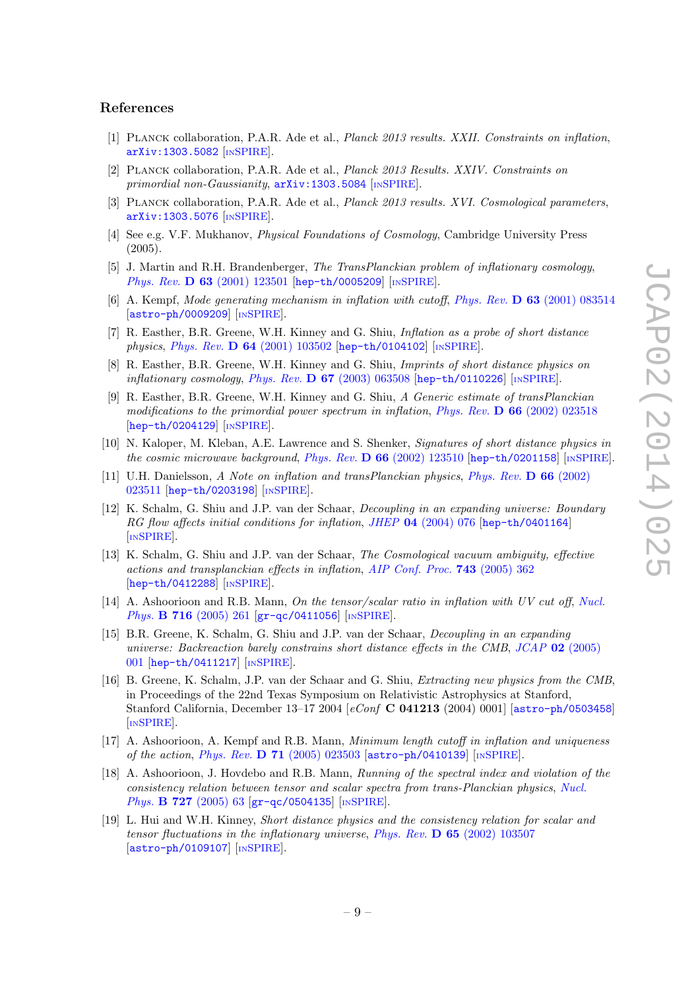#### References

- <span id="page-10-0"></span>[1] Planck collaboration, P.A.R. Ade et al., Planck 2013 results. XXII. Constraints on inflation, [arXiv:1303.5082](http://arxiv.org/abs/1303.5082) [IN[SPIRE](http://inspirehep.net/search?p=find+EPRINT+arXiv:1303.5082)].
- [2] Planck collaboration, P.A.R. Ade et al., Planck 2013 Results. XXIV. Constraints on primordial non-Gaussianity,  $arXiv:1303.5084$  [IN[SPIRE](http://inspirehep.net/search?p=find+EPRINT+arXiv:1303.5084)].
- <span id="page-10-1"></span>[3] PLANCK collaboration, P.A.R. Ade et al., *Planck 2013 results. XVI. Cosmological parameters*, [arXiv:1303.5076](http://arxiv.org/abs/1303.5076) [IN[SPIRE](http://inspirehep.net/search?p=find+EPRINT+arXiv:1303.5076)].
- <span id="page-10-2"></span>[4] See e.g. V.F. Mukhanov, Physical Foundations of Cosmology, Cambridge University Press (2005).
- <span id="page-10-3"></span>[5] J. Martin and R.H. Brandenberger, The TransPlanckian problem of inflationary cosmology, Phys. Rev. **D 63** [\(2001\) 123501](http://dx.doi.org/10.1103/PhysRevD.63.123501) [[hep-th/0005209](http://arxiv.org/abs/hep-th/0005209)] [IN[SPIRE](http://inspirehep.net/search?p=find+J+Phys.Rev.,D63,123501)].
- [6] A. Kempf, Mode generating mechanism in inflation with cutoff, Phys. Rev. D 63 [\(2001\) 083514](http://dx.doi.org/10.1103/PhysRevD.63.083514) [[astro-ph/0009209](http://arxiv.org/abs/astro-ph/0009209)] [IN[SPIRE](http://inspirehep.net/search?p=find+J+Phys.Rev.,D63,083514)].
- [7] R. Easther, B.R. Greene, W.H. Kinney and G. Shiu, Inflation as a probe of short distance physics, Phys. Rev. D 64 [\(2001\) 103502](http://dx.doi.org/10.1103/PhysRevD.64.103502) [[hep-th/0104102](http://arxiv.org/abs/hep-th/0104102)] [IN[SPIRE](http://inspirehep.net/search?p=find+J+Phys.Rev.,D64,103502)].
- [8] R. Easther, B.R. Greene, W.H. Kinney and G. Shiu, Imprints of short distance physics on inflationary cosmology, Phys. Rev.  $\bf{D} 67$  [\(2003\) 063508](http://dx.doi.org/10.1103/PhysRevD.67.063508) [[hep-th/0110226](http://arxiv.org/abs/hep-th/0110226)] [IN[SPIRE](http://inspirehep.net/search?p=find+J+Phys.Rev.,D67,063508)].
- [9] R. Easther, B.R. Greene, W.H. Kinney and G. Shiu, A Generic estimate of transPlanckian modifications to the primordial power spectrum in inflation, Phys. Rev.  $\bf{D} 66$  [\(2002\) 023518](http://dx.doi.org/10.1103/PhysRevD.66.023518) [[hep-th/0204129](http://arxiv.org/abs/hep-th/0204129)] [IN[SPIRE](http://inspirehep.net/search?p=find+J+Phys.Rev.,D66,023518)].
- [10] N. Kaloper, M. Kleban, A.E. Lawrence and S. Shenker, Signatures of short distance physics in the cosmic microwave background, Phys. Rev.  $\bf{D} 66 (2002) 123510$  $\bf{D} 66 (2002) 123510$  [[hep-th/0201158](http://arxiv.org/abs/hep-th/0201158)] [IN[SPIRE](http://inspirehep.net/search?p=find+J+Phys.Rev.,D66,123510)].
- [11] U.H. Danielsson, A Note on inflation and transPlanckian physics, [Phys. Rev.](http://dx.doi.org/10.1103/PhysRevD.66.023511) D 66 (2002) [023511](http://dx.doi.org/10.1103/PhysRevD.66.023511) [[hep-th/0203198](http://arxiv.org/abs/hep-th/0203198)] [IN[SPIRE](http://inspirehep.net/search?p=find+J+Phys.Rev.,D66,023511)].
- [12] K. Schalm, G. Shiu and J.P. van der Schaar, Decoupling in an expanding universe: Boundary RG flow affects initial conditions for inflation, JHEP 04 [\(2004\) 076](http://dx.doi.org/10.1088/1126-6708/2004/04/076) [[hep-th/0401164](http://arxiv.org/abs/hep-th/0401164)] [IN[SPIRE](http://inspirehep.net/search?p=find+J+JHEP,0404,076)].
- [13] K. Schalm, G. Shiu and J.P. van der Schaar, The Cosmological vacuum ambiguity, effective actions and transplanckian effects in inflation, [AIP Conf. Proc.](http://dx.doi.org/10.1063/1.1848340) 743 (2005) 362 [[hep-th/0412288](http://arxiv.org/abs/hep-th/0412288)] [IN[SPIRE](http://inspirehep.net/search?p=find+AIP.Conf.Proc.,743,362)].
- [14] A. Ashoorioon and R.B. Mann, On the tensor/scalar ratio in inflation with UV cut off, [Nucl.](http://dx.doi.org/10.1016/j.nuclphysb.2005.03.033) *Phys.* **B** 716 [\(2005\) 261](http://dx.doi.org/10.1016/j.nuclphysb.2005.03.033)  $gr-qc/0411056$  [IN[SPIRE](http://inspirehep.net/search?p=find+J+Nucl.Phys.,B716,261)].
- [15] B.R. Greene, K. Schalm, G. Shiu and J.P. van der Schaar, Decoupling in an expanding universe: Backreaction barely constrains short distance effects in the CMB, JCAP 02 [\(2005\)](http://dx.doi.org/10.1088/1475-7516/2005/02/001) [001](http://dx.doi.org/10.1088/1475-7516/2005/02/001) [[hep-th/0411217](http://arxiv.org/abs/hep-th/0411217)] [IN[SPIRE](http://inspirehep.net/search?p=find+J+JCAP,0502,001)].
- [16] B. Greene, K. Schalm, J.P. van der Schaar and G. Shiu, Extracting new physics from the CMB, in Proceedings of the 22nd Texas Symposium on Relativistic Astrophysics at Stanford, Stanford California, December 13–17 2004 [eConf **C 041213** (2004) 0001] [[astro-ph/0503458](http://arxiv.org/abs/astro-ph/0503458)] [IN[SPIRE](http://inspirehep.net/search?p=find+EPRINT+astro-ph/0503458)].
- [17] A. Ashoorioon, A. Kempf and R.B. Mann, Minimum length cutoff in inflation and uniqueness of the action, Phys. Rev.  $D 71$  [\(2005\) 023503](http://dx.doi.org/10.1103/PhysRevD.71.023503) [[astro-ph/0410139](http://arxiv.org/abs/astro-ph/0410139)] [IN[SPIRE](http://inspirehep.net/search?p=find+J+Phys.Rev.,D71,023503)].
- [18] A. Ashoorioon, J. Hovdebo and R.B. Mann, Running of the spectral index and violation of the consistency relation between tensor and scalar spectra from trans-Planckian physics, [Nucl.](http://dx.doi.org/10.1016/j.nuclphysb.2005.08.020) Phys. **B 727** [\(2005\) 63](http://dx.doi.org/10.1016/j.nuclphysb.2005.08.020) [[gr-qc/0504135](http://arxiv.org/abs/gr-qc/0504135)] [IN[SPIRE](http://inspirehep.net/search?p=find+J+Nucl.Phys.,B727,63)].
- <span id="page-10-4"></span>[19] L. Hui and W.H. Kinney, Short distance physics and the consistency relation for scalar and tensor fluctuations in the inflationary universe, Phys. Rev. D 65 [\(2002\) 103507](http://dx.doi.org/10.1103/PhysRevD.65.103507) [[astro-ph/0109107](http://arxiv.org/abs/astro-ph/0109107)] [IN[SPIRE](http://inspirehep.net/search?p=find+J+Phys.Rev.,D65,103507)].